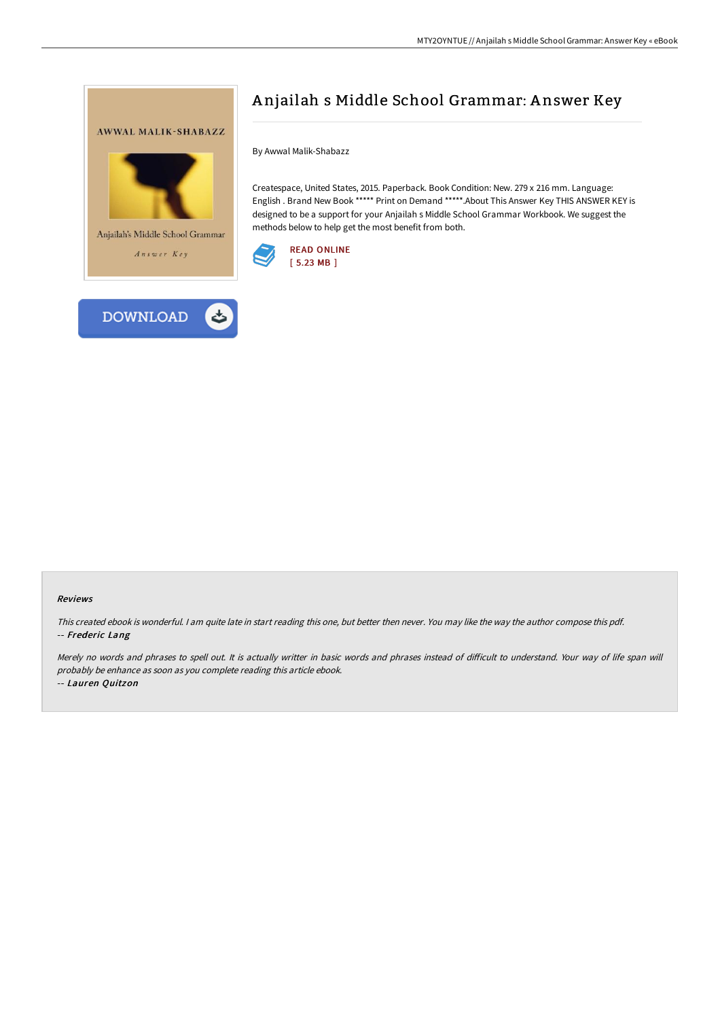



By Awwal Malik-Shabazz

Createspace, United States, 2015. Paperback. Book Condition: New. 279 x 216 mm. Language: English . Brand New Book \*\*\*\*\* Print on Demand \*\*\*\*\*.About This Answer Key THIS ANSWER KEY is designed to be a support for your Anjailah s Middle School Grammar Workbook. We suggest the methods below to help get the most benefit from both.



## Reviews

This created ebook is wonderful. <sup>I</sup> am quite late in start reading this one, but better then never. You may like the way the author compose this pdf. -- Frederic Lang

Merely no words and phrases to spell out. It is actually writter in basic words and phrases instead of difficult to understand. Your way of life span will probably be enhance as soon as you complete reading this article ebook. -- Lauren Quitzon